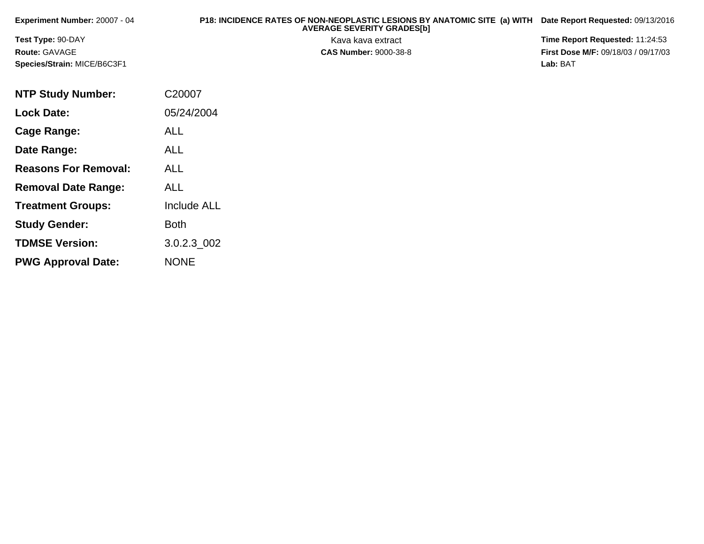| <b>Experiment Number: 20007 - 04</b> | P18: INCIDENCE RATES OF NON-NEOPLASTIC LESIONS BY ANATOMIC SITE (a) WITH<br><b>AVERAGE SEVERITY GRADES[b]</b> | Date Report Requested: 09/13/2016          |
|--------------------------------------|---------------------------------------------------------------------------------------------------------------|--------------------------------------------|
| <b>Test Type: 90-DAY</b>             | Kava kava extract                                                                                             | <b>Time Report Requested: 11:24:53</b>     |
| <b>Route: GAVAGE</b>                 | <b>CAS Number: 9000-38-8</b>                                                                                  | <b>First Dose M/F: 09/18/03 / 09/17/03</b> |
| <b>Species/Strain: MICE/B6C3F1</b>   |                                                                                                               | Lab: BAT                                   |

| <b>NTP Study Number:</b>    | C20007             |
|-----------------------------|--------------------|
| Lock Date:                  | 05/24/2004         |
| <b>Cage Range:</b>          | ALL                |
| Date Range:                 | ALL                |
| <b>Reasons For Removal:</b> | ALL                |
| <b>Removal Date Range:</b>  | ALL                |
| <b>Treatment Groups:</b>    | <b>Include ALL</b> |
| <b>Study Gender:</b>        | Both               |
| <b>TDMSE Version:</b>       | 3.0.2.3 002        |
| <b>PWG Approval Date:</b>   | <b>NONE</b>        |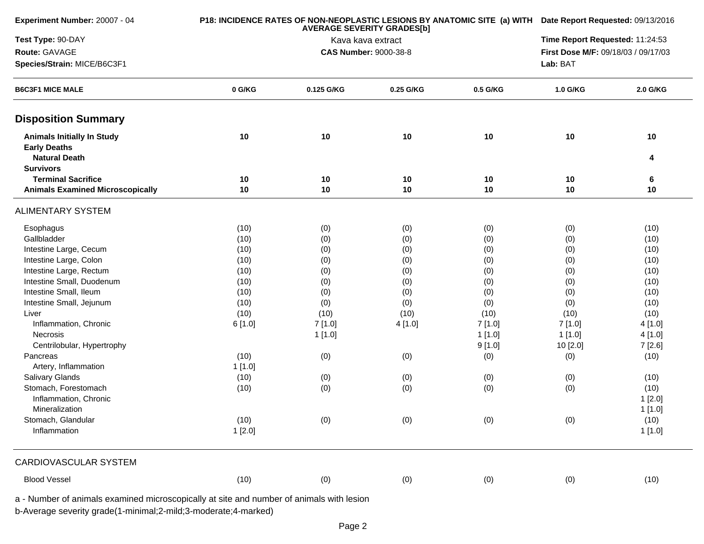| Experiment Number: 20007 - 04                            |        | P18: INCIDENCE RATES OF NON-NEOPLASTIC LESIONS BY ANATOMIC SITE (a) WITH Date Report Requested: 09/13/2016 |           |          |                                     |          |  |
|----------------------------------------------------------|--------|------------------------------------------------------------------------------------------------------------|-----------|----------|-------------------------------------|----------|--|
| Test Type: 90-DAY                                        |        | <b>AVERAGE SEVERITY GRADES[b]</b><br>Kava kava extract                                                     |           |          | Time Report Requested: 11:24:53     |          |  |
| Route: GAVAGE                                            |        | <b>CAS Number: 9000-38-8</b>                                                                               |           |          | First Dose M/F: 09/18/03 / 09/17/03 |          |  |
| Species/Strain: MICE/B6C3F1                              |        |                                                                                                            |           |          | Lab: BAT                            |          |  |
| <b>B6C3F1 MICE MALE</b>                                  | 0 G/KG | 0.125 G/KG                                                                                                 | 0.25 G/KG | 0.5 G/KG | 1.0 G/KG                            | 2.0 G/KG |  |
| <b>Disposition Summary</b>                               |        |                                                                                                            |           |          |                                     |          |  |
| <b>Animals Initially In Study</b><br><b>Early Deaths</b> | 10     | 10                                                                                                         | 10        | 10       | 10                                  | 10       |  |
| <b>Natural Death</b>                                     |        |                                                                                                            |           |          |                                     | 4        |  |
| <b>Survivors</b>                                         |        |                                                                                                            |           |          |                                     |          |  |
| <b>Terminal Sacrifice</b>                                | 10     | 10                                                                                                         | 10        | 10       | 10                                  | 6        |  |
| <b>Animals Examined Microscopically</b>                  | 10     | 10                                                                                                         | 10        | 10       | 10                                  | 10       |  |
| <b>ALIMENTARY SYSTEM</b>                                 |        |                                                                                                            |           |          |                                     |          |  |
| Esophagus                                                | (10)   | (0)                                                                                                        | (0)       | (0)      | (0)                                 | (10)     |  |
| Gallbladder                                              | (10)   | (0)                                                                                                        | (0)       | (0)      | (0)                                 | (10)     |  |
| Intestine Large, Cecum                                   | (10)   | (0)                                                                                                        | (0)       | (0)      | (0)                                 | (10)     |  |
| Intestine Large, Colon                                   | (10)   | (0)                                                                                                        | (0)       | (0)      | (0)                                 | (10)     |  |
| Intestine Large, Rectum                                  | (10)   | (0)                                                                                                        | (0)       | (0)      | (0)                                 | (10)     |  |
| Intestine Small, Duodenum                                | (10)   | (0)                                                                                                        | (0)       | (0)      | (0)                                 | (10)     |  |
| Intestine Small, Ileum                                   | (10)   | (0)                                                                                                        | (0)       | (0)      | (0)                                 | (10)     |  |
| Intestine Small, Jejunum                                 | (10)   | (0)                                                                                                        | (0)       | (0)      | (0)                                 | (10)     |  |
| Liver                                                    | (10)   | (10)                                                                                                       | (10)      | (10)     | (10)                                | (10)     |  |
| Inflammation, Chronic                                    | 6[1.0] | 7[1.0]                                                                                                     | 4[1.0]    | 7[1.0]   | 7[1.0]                              | 4 [1.0]  |  |
| Necrosis                                                 |        | 1[1.0]                                                                                                     |           | 1[1.0]   | 1[1.0]                              | 4[1.0]   |  |
| Centrilobular, Hypertrophy                               |        |                                                                                                            |           | 9[1.0]   | 10 [2.0]                            | 7 [2.6]  |  |
| Pancreas                                                 | (10)   | (0)                                                                                                        | (0)       | (0)      | (0)                                 | (10)     |  |
| Artery, Inflammation                                     | 1[1.0] |                                                                                                            |           |          |                                     |          |  |
| Salivary Glands                                          | (10)   | (0)                                                                                                        | (0)       | (0)      | (0)                                 | (10)     |  |
| Stomach, Forestomach                                     | (10)   | (0)                                                                                                        | (0)       | (0)      | (0)                                 | (10)     |  |
| Inflammation, Chronic                                    |        |                                                                                                            |           |          |                                     | 1[2.0]   |  |
| Mineralization                                           |        |                                                                                                            |           |          |                                     | 1[1.0]   |  |
| Stomach, Glandular                                       | (10)   | (0)                                                                                                        | (0)       | (0)      | (0)                                 | (10)     |  |
| Inflammation                                             | 1[2.0] |                                                                                                            |           |          |                                     | 1[1.0]   |  |
| CARDIOVASCULAR SYSTEM                                    |        |                                                                                                            |           |          |                                     |          |  |
| <b>Blood Vessel</b>                                      | (10)   | (0)                                                                                                        | (0)       | (0)      | (0)                                 | (10)     |  |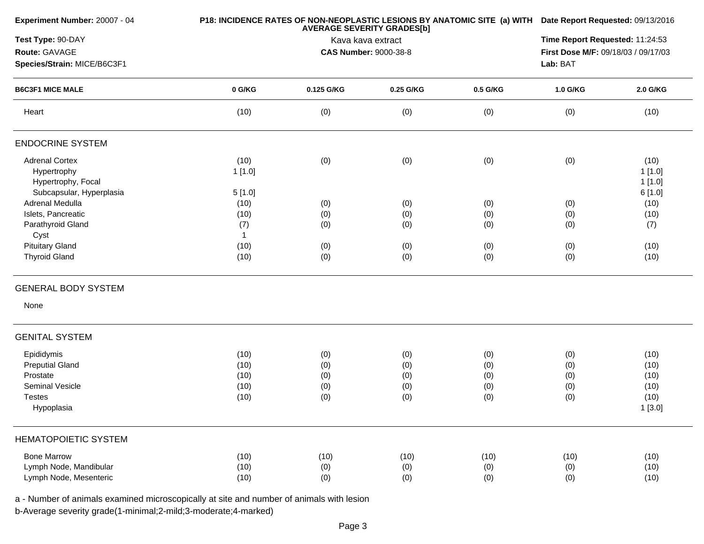| Experiment Number: 20007 - 04                          |              | P18: INCIDENCE RATES OF NON-NEOPLASTIC LESIONS BY ANATOMIC SITE (a) WITH Date Report Requested: 09/13/2016<br><b>AVERAGE SEVERITY GRADES[b]</b><br>Kava kava extract |                              |          |                                     |          |
|--------------------------------------------------------|--------------|----------------------------------------------------------------------------------------------------------------------------------------------------------------------|------------------------------|----------|-------------------------------------|----------|
| Test Type: 90-DAY                                      |              |                                                                                                                                                                      |                              |          |                                     |          |
| Route: GAVAGE                                          |              |                                                                                                                                                                      | <b>CAS Number: 9000-38-8</b> |          | First Dose M/F: 09/18/03 / 09/17/03 |          |
| Species/Strain: MICE/B6C3F1<br><b>B6C3F1 MICE MALE</b> |              |                                                                                                                                                                      | Lab: BAT                     |          |                                     |          |
|                                                        | 0 G/KG       | 0.125 G/KG                                                                                                                                                           | 0.25 G/KG                    | 0.5 G/KG | 1.0 G/KG                            | 2.0 G/KG |
| Heart                                                  | (10)         | (0)                                                                                                                                                                  | (0)                          | (0)      | (0)                                 | (10)     |
| <b>ENDOCRINE SYSTEM</b>                                |              |                                                                                                                                                                      |                              |          |                                     |          |
| <b>Adrenal Cortex</b>                                  | (10)         | (0)                                                                                                                                                                  | (0)                          | (0)      | (0)                                 | (10)     |
| Hypertrophy                                            | 1[1.0]       |                                                                                                                                                                      |                              |          |                                     | 1[1.0]   |
| Hypertrophy, Focal                                     |              |                                                                                                                                                                      |                              |          |                                     | 1[1.0]   |
| Subcapsular, Hyperplasia                               | 5[1.0]       |                                                                                                                                                                      |                              |          |                                     | 6[1.0]   |
| Adrenal Medulla                                        | (10)         | (0)                                                                                                                                                                  | (0)                          | (0)      | (0)                                 | (10)     |
| Islets, Pancreatic                                     | (10)         | (0)                                                                                                                                                                  | (0)                          | (0)      | (0)                                 | (10)     |
| Parathyroid Gland                                      | (7)          | (0)                                                                                                                                                                  | (0)                          | (0)      | (0)                                 | (7)      |
| Cyst                                                   | $\mathbf{1}$ |                                                                                                                                                                      |                              |          |                                     |          |
| <b>Pituitary Gland</b>                                 | (10)         | (0)                                                                                                                                                                  | (0)                          | (0)      | (0)                                 | (10)     |
| <b>Thyroid Gland</b>                                   | (10)         | (0)                                                                                                                                                                  | (0)                          | (0)      | (0)                                 | (10)     |
| <b>GENERAL BODY SYSTEM</b>                             |              |                                                                                                                                                                      |                              |          |                                     |          |
| None                                                   |              |                                                                                                                                                                      |                              |          |                                     |          |
| <b>GENITAL SYSTEM</b>                                  |              |                                                                                                                                                                      |                              |          |                                     |          |
| Epididymis                                             | (10)         | (0)                                                                                                                                                                  | (0)                          | (0)      | (0)                                 | (10)     |
| <b>Preputial Gland</b>                                 | (10)         | (0)                                                                                                                                                                  | (0)                          | (0)      | (0)                                 | (10)     |
| Prostate                                               | (10)         | (0)                                                                                                                                                                  | (0)                          | (0)      | (0)                                 | (10)     |
| Seminal Vesicle                                        | (10)         | (0)                                                                                                                                                                  | (0)                          | (0)      | (0)                                 | (10)     |
| <b>Testes</b>                                          | (10)         | (0)                                                                                                                                                                  | (0)                          | (0)      | (0)                                 | (10)     |
| Hypoplasia                                             |              |                                                                                                                                                                      |                              |          |                                     | 1[3.0]   |
| <b>HEMATOPOIETIC SYSTEM</b>                            |              |                                                                                                                                                                      |                              |          |                                     |          |
| <b>Bone Marrow</b>                                     | (10)         | (10)                                                                                                                                                                 | (10)                         | (10)     | (10)                                | (10)     |
| Lymph Node, Mandibular                                 | (10)         | (0)                                                                                                                                                                  | (0)                          | (0)      | (0)                                 | (10)     |
| Lymph Node, Mesenteric                                 | (10)         | (0)                                                                                                                                                                  | (0)                          | (0)      | (0)                                 | (10)     |

a - Number of animals examined microscopically at site and number of animals with lesion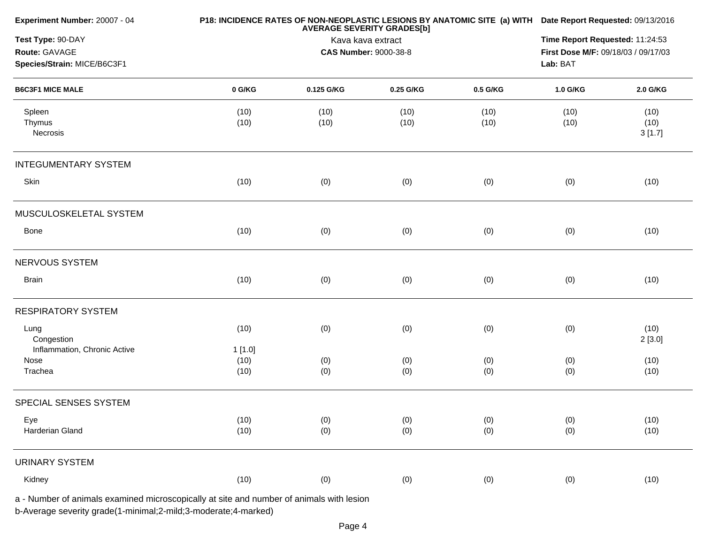| Experiment Number: 20007 - 04                                                            |                | P18: INCIDENCE RATES OF NON-NEOPLASTIC LESIONS BY ANATOMIC SITE (a) WITH Date Report Requested: 09/13/2016<br><b>AVERAGE SEVERITY GRADES[b]</b> |              |              |              |                        |
|------------------------------------------------------------------------------------------|----------------|-------------------------------------------------------------------------------------------------------------------------------------------------|--------------|--------------|--------------|------------------------|
| Test Type: 90-DAY<br>Route: GAVAGE<br>Species/Strain: MICE/B6C3F1                        |                | Kava kava extract<br><b>CAS Number: 9000-38-8</b><br>Lab: BAT                                                                                   |              |              |              |                        |
| <b>B6C3F1 MICE MALE</b>                                                                  | 0 G/KG         | 0.125 G/KG                                                                                                                                      | 0.25 G/KG    | 0.5 G/KG     | 1.0 G/KG     | 2.0 G/KG               |
| Spleen<br>Thymus<br>Necrosis                                                             | (10)<br>(10)   | (10)<br>(10)                                                                                                                                    | (10)<br>(10) | (10)<br>(10) | (10)<br>(10) | (10)<br>(10)<br>3[1.7] |
| <b>INTEGUMENTARY SYSTEM</b>                                                              |                |                                                                                                                                                 |              |              |              |                        |
| Skin                                                                                     | (10)           | (0)                                                                                                                                             | (0)          | (0)          | (0)          | (10)                   |
| MUSCULOSKELETAL SYSTEM                                                                   |                |                                                                                                                                                 |              |              |              |                        |
| Bone                                                                                     | (10)           | (0)                                                                                                                                             | (0)          | (0)          | (0)          | (10)                   |
| NERVOUS SYSTEM                                                                           |                |                                                                                                                                                 |              |              |              |                        |
| <b>Brain</b>                                                                             | (10)           | (0)                                                                                                                                             | (0)          | (0)          | (0)          | (10)                   |
| <b>RESPIRATORY SYSTEM</b>                                                                |                |                                                                                                                                                 |              |              |              |                        |
| Lung<br>Congestion<br>Inflammation, Chronic Active                                       | (10)<br>1[1.0] | (0)                                                                                                                                             | (0)          | (0)          | (0)          | (10)<br>2[3.0]         |
| Nose                                                                                     | (10)           | (0)                                                                                                                                             | (0)          | (0)          | (0)          | (10)                   |
| Trachea                                                                                  | (10)           | (0)                                                                                                                                             | (0)          | (0)          | (0)          | (10)                   |
| SPECIAL SENSES SYSTEM                                                                    |                |                                                                                                                                                 |              |              |              |                        |
| Eye<br>Harderian Gland                                                                   | (10)<br>(10)   | (0)<br>(0)                                                                                                                                      | (0)<br>(0)   | (0)<br>(0)   | (0)<br>(0)   | (10)<br>(10)           |
| <b>URINARY SYSTEM</b>                                                                    |                |                                                                                                                                                 |              |              |              |                        |
| Kidney                                                                                   | (10)           | (0)                                                                                                                                             | (0)          | (0)          | (0)          | (10)                   |
| a - Number of animals examined microscopically at site and number of animals with lesion |                |                                                                                                                                                 |              |              |              |                        |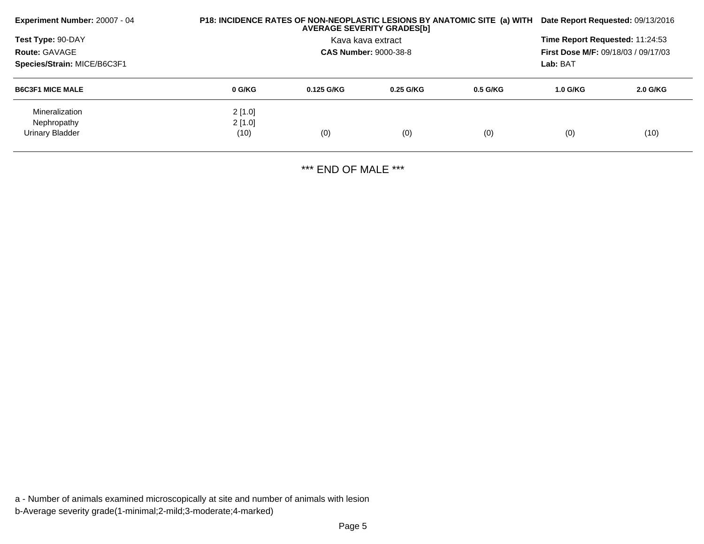| Experiment Number: 20007 - 04                    |        | P18: INCIDENCE RATES OF NON-NEOPLASTIC LESIONS BY ANATOMIC SITE (a) WITH<br><b>AVERAGE SEVERITY GRADES[b]</b> |             |            |            | Date Report Requested: 09/13/2016 |  |  |
|--------------------------------------------------|--------|---------------------------------------------------------------------------------------------------------------|-------------|------------|------------|-----------------------------------|--|--|
| <b>Test Type: 90-DAY</b><br><b>Route: GAVAGE</b> |        | Time Report Requested: 11:24:53<br><b>First Dose M/F: 09/18/03 / 09/17/03</b>                                 |             |            |            |                                   |  |  |
| Species/Strain: MICE/B6C3F1                      |        |                                                                                                               |             |            | Lab: BAT   |                                   |  |  |
| <b>B6C3F1 MICE MALE</b>                          | 0 G/KG | $0.125$ G/KG                                                                                                  | $0.25$ G/KG | $0.5$ G/KG | $1.0$ G/KG | 2.0 G/KG                          |  |  |
| Mineralization                                   | 2[1.0] |                                                                                                               |             |            |            |                                   |  |  |
| Nephropathy                                      | 2[1.0] |                                                                                                               |             |            |            |                                   |  |  |
| Urinary Bladder                                  | (10)   | (0)                                                                                                           | (0)         | (0)        | (0)        | (10)                              |  |  |

\*\*\* END OF MALE \*\*\*

a - Number of animals examined microscopically at site and number of animals with lesionb-Average severity grade(1-minimal;2-mild;3-moderate;4-marked)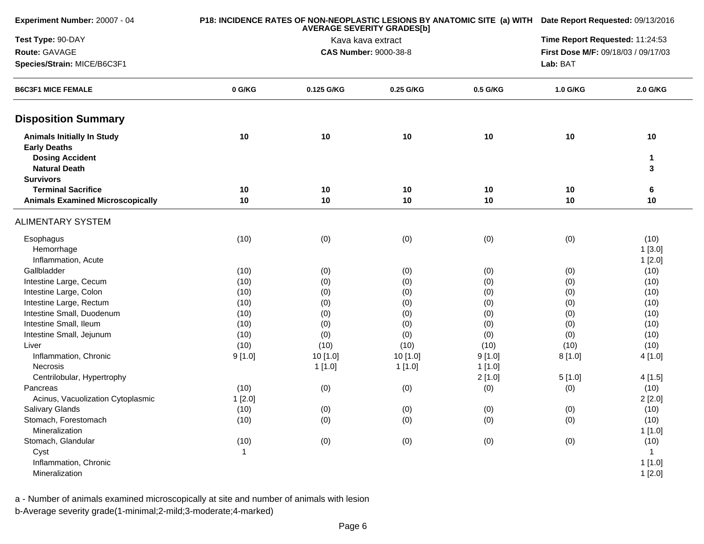| Experiment Number: 20007 - 04                                                      |              | P18: INCIDENCE RATES OF NON-NEOPLASTIC LESIONS BY ANATOMIC SITE (a) WITH<br><b>AVERAGE SEVERITY GRADES[b]</b> |                   |            |                                     |                    |  |
|------------------------------------------------------------------------------------|--------------|---------------------------------------------------------------------------------------------------------------|-------------------|------------|-------------------------------------|--------------------|--|
| Test Type: 90-DAY                                                                  |              |                                                                                                               | Kava kava extract |            | Time Report Requested: 11:24:53     |                    |  |
| Route: GAVAGE                                                                      |              | <b>CAS Number: 9000-38-8</b>                                                                                  |                   |            | First Dose M/F: 09/18/03 / 09/17/03 |                    |  |
| Species/Strain: MICE/B6C3F1<br><b>B6C3F1 MICE FEMALE</b>                           |              |                                                                                                               |                   |            |                                     |                    |  |
|                                                                                    | 0 G/KG       | 0.125 G/KG                                                                                                    | 0.25 G/KG         | 0.5 G/KG   | 1.0 G/KG                            | 2.0 G/KG           |  |
| <b>Disposition Summary</b>                                                         |              |                                                                                                               |                   |            |                                     |                    |  |
| <b>Animals Initially In Study</b><br><b>Early Deaths</b><br><b>Dosing Accident</b> | 10           | 10                                                                                                            | 10                | 10         | 10                                  | 10<br>$\mathbf{1}$ |  |
| <b>Natural Death</b>                                                               |              |                                                                                                               |                   |            |                                     | 3                  |  |
| <b>Survivors</b>                                                                   |              |                                                                                                               |                   |            |                                     |                    |  |
| <b>Terminal Sacrifice</b>                                                          | 10           | 10                                                                                                            | 10                | 10         | 10                                  | 6                  |  |
| <b>Animals Examined Microscopically</b>                                            | 10           | 10                                                                                                            | 10                | 10         | 10                                  | 10                 |  |
| <b>ALIMENTARY SYSTEM</b>                                                           |              |                                                                                                               |                   |            |                                     |                    |  |
| Esophagus                                                                          | (10)         | (0)                                                                                                           | (0)               | (0)        | (0)                                 | (10)               |  |
| Hemorrhage                                                                         |              |                                                                                                               |                   |            |                                     | 1[3.0]             |  |
| Inflammation, Acute<br>Gallbladder                                                 |              |                                                                                                               |                   |            |                                     | 1[2.0]             |  |
| Intestine Large, Cecum                                                             | (10)<br>(10) | (0)                                                                                                           | (0)               | (0)        | (0)                                 | (10)<br>(10)       |  |
| Intestine Large, Colon                                                             |              | (0)                                                                                                           | (0)               | (0)        | (0)                                 | (10)               |  |
| Intestine Large, Rectum                                                            | (10)<br>(10) | (0)                                                                                                           | (0)               | (0)<br>(0) | (0)<br>(0)                          | (10)               |  |
| Intestine Small, Duodenum                                                          | (10)         | (0)                                                                                                           | (0)               | (0)        | (0)                                 | (10)               |  |
| Intestine Small, Ileum                                                             | (10)         | (0)<br>(0)                                                                                                    | (0)<br>(0)        | (0)        | (0)                                 | (10)               |  |
| Intestine Small, Jejunum                                                           | (10)         | (0)                                                                                                           | (0)               | (0)        | (0)                                 | (10)               |  |
| Liver                                                                              | (10)         | (10)                                                                                                          | (10)              | (10)       | (10)                                | (10)               |  |
| Inflammation, Chronic                                                              | 9[1.0]       | 10 [1.0]                                                                                                      | 10 [1.0]          | 9[1.0]     | 8[1.0]                              | 4[1.0]             |  |
| Necrosis                                                                           |              | 1[1.0]                                                                                                        | 1[1.0]            | 1[1.0]     |                                     |                    |  |
| Centrilobular, Hypertrophy                                                         |              |                                                                                                               |                   | 2[1.0]     | 5[1.0]                              | 4[1.5]             |  |
| Pancreas                                                                           | (10)         | (0)                                                                                                           | (0)               | (0)        | (0)                                 | (10)               |  |
| Acinus, Vacuolization Cytoplasmic                                                  | 1[2.0]       |                                                                                                               |                   |            |                                     | 2[2.0]             |  |
| <b>Salivary Glands</b>                                                             | (10)         | (0)                                                                                                           | (0)               | (0)        | (0)                                 | (10)               |  |
| Stomach, Forestomach                                                               | (10)         | (0)                                                                                                           | (0)               | (0)        | (0)                                 | (10)               |  |
| Mineralization                                                                     |              |                                                                                                               |                   |            |                                     | 1[1.0]             |  |
| Stomach, Glandular                                                                 | (10)         | (0)                                                                                                           | (0)               | (0)        | (0)                                 | (10)               |  |
| Cyst                                                                               | $\mathbf{1}$ |                                                                                                               |                   |            |                                     | $\mathbf{1}$       |  |
| Inflammation, Chronic                                                              |              |                                                                                                               |                   |            |                                     | 1[1.0]             |  |
| Mineralization                                                                     |              |                                                                                                               |                   |            |                                     | 1[2.0]             |  |

a - Number of animals examined microscopically at site and number of animals with lesion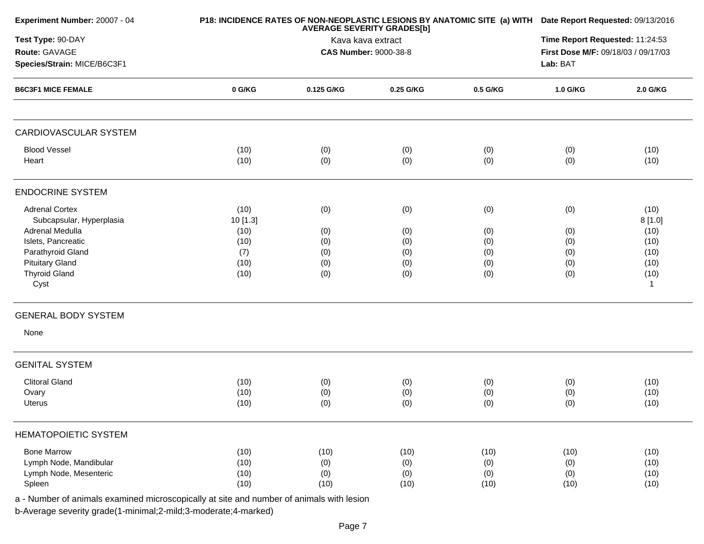| Experiment Number: 20007 - 04                            |              | P18: INCIDENCE RATES OF NON-NEOPLASTIC LESIONS BY ANATOMIC SITE (a) WITH Date Report Requested: 09/13/2016 |                              |            |                                     |              |
|----------------------------------------------------------|--------------|------------------------------------------------------------------------------------------------------------|------------------------------|------------|-------------------------------------|--------------|
| Test Type: 90-DAY                                        |              | <b>AVERAGE SEVERITY GRADES[b]</b><br>Kava kava extract                                                     |                              |            |                                     |              |
| Route: GAVAGE                                            |              |                                                                                                            | <b>CAS Number: 9000-38-8</b> |            | First Dose M/F: 09/18/03 / 09/17/03 |              |
| Species/Strain: MICE/B6C3F1<br><b>B6C3F1 MICE FEMALE</b> |              |                                                                                                            |                              |            |                                     |              |
|                                                          | $0$ G/KG     | 0.125 G/KG                                                                                                 | 0.25 G/KG                    | 0.5 G/KG   | 1.0 G/KG                            | 2.0 G/KG     |
| CARDIOVASCULAR SYSTEM                                    |              |                                                                                                            |                              |            |                                     |              |
| <b>Blood Vessel</b><br>Heart                             | (10)<br>(10) | (0)<br>(0)                                                                                                 | (0)<br>(0)                   | (0)<br>(0) | (0)<br>(0)                          | (10)<br>(10) |
| <b>ENDOCRINE SYSTEM</b>                                  |              |                                                                                                            |                              |            |                                     |              |
| <b>Adrenal Cortex</b>                                    | (10)         | (0)                                                                                                        | (0)                          | (0)        | (0)                                 | (10)         |
| Subcapsular, Hyperplasia<br>Adrenal Medulla              | 10 [1.3]     |                                                                                                            |                              |            |                                     | 8[1.0]       |
| Islets, Pancreatic                                       | (10)<br>(10) | (0)<br>(0)                                                                                                 | (0)                          | (0)        | (0)                                 | (10)<br>(10) |
| Parathyroid Gland                                        | (7)          | (0)                                                                                                        | (0)<br>(0)                   | (0)<br>(0) | (0)<br>(0)                          | (10)         |
| <b>Pituitary Gland</b>                                   | (10)         | (0)                                                                                                        | (0)                          | (0)        | (0)                                 | (10)         |
| <b>Thyroid Gland</b>                                     | (10)         | (0)                                                                                                        | (0)                          | (0)        | (0)                                 | (10)         |
| Cyst                                                     |              |                                                                                                            |                              |            |                                     | $\mathbf{1}$ |
| <b>GENERAL BODY SYSTEM</b>                               |              |                                                                                                            |                              |            |                                     |              |
| None                                                     |              |                                                                                                            |                              |            |                                     |              |
| <b>GENITAL SYSTEM</b>                                    |              |                                                                                                            |                              |            |                                     |              |
| <b>Clitoral Gland</b>                                    | (10)         | (0)                                                                                                        | (0)                          | (0)        | (0)                                 | (10)         |
| Ovary                                                    | (10)         | (0)                                                                                                        | (0)                          | (0)        | (0)                                 | (10)         |
| Uterus                                                   | (10)         | (0)                                                                                                        | (0)                          | (0)        | (0)                                 | (10)         |
| <b>HEMATOPOIETIC SYSTEM</b>                              |              |                                                                                                            |                              |            |                                     |              |
| <b>Bone Marrow</b>                                       | (10)         | (10)                                                                                                       | (10)                         | (10)       | (10)                                | (10)         |
| Lymph Node, Mandibular                                   | (10)         | (0)                                                                                                        | (0)                          | (0)        | (0)                                 | (10)         |
| Lymph Node, Mesenteric                                   | (10)         | (0)                                                                                                        | (0)                          | (0)        | (0)                                 | (10)         |
| Spleen                                                   | (10)         | (10)                                                                                                       | (10)                         | (10)       | (10)                                | (10)         |

a - Number of animals examined microscopically at site and number of animals with lesion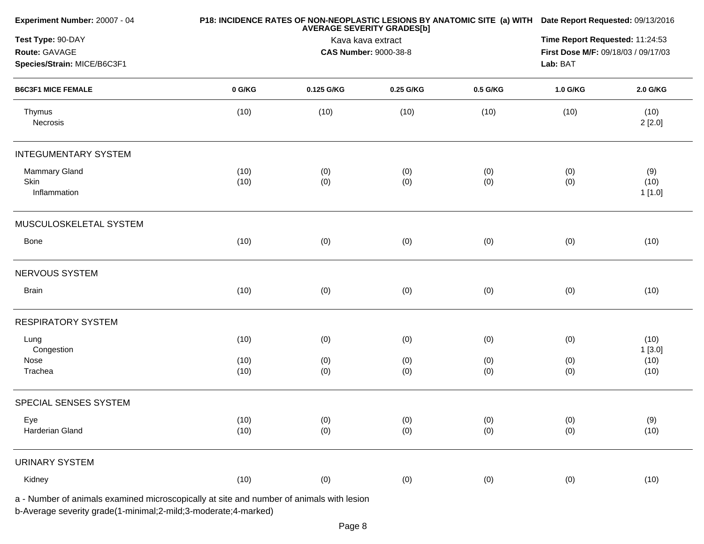| Experiment Number: 20007 - 04                                                            |              | P18: INCIDENCE RATES OF NON-NEOPLASTIC LESIONS BY ANATOMIC SITE (a) WITH Date Report Requested: 09/13/2016<br><b>AVERAGE SEVERITY GRADES[b]</b> |            |            |            |                        |
|------------------------------------------------------------------------------------------|--------------|-------------------------------------------------------------------------------------------------------------------------------------------------|------------|------------|------------|------------------------|
| Test Type: 90-DAY<br>Route: GAVAGE<br>Species/Strain: MICE/B6C3F1                        |              | Kava kava extract<br><b>CAS Number: 9000-38-8</b>                                                                                               |            |            |            |                        |
| <b>B6C3F1 MICE FEMALE</b>                                                                | 0 G/KG       | 0.125 G/KG                                                                                                                                      | 0.25 G/KG  | 0.5 G/KG   | 1.0 G/KG   | 2.0 G/KG               |
| Thymus<br>Necrosis                                                                       | (10)         | (10)                                                                                                                                            | (10)       | (10)       | (10)       | (10)<br>2[2.0]         |
| <b>INTEGUMENTARY SYSTEM</b>                                                              |              |                                                                                                                                                 |            |            |            |                        |
| Mammary Gland<br>Skin<br>Inflammation                                                    | (10)<br>(10) | (0)<br>(0)                                                                                                                                      | (0)<br>(0) | (0)<br>(0) | (0)<br>(0) | (9)<br>(10)<br>1 [1.0] |
| MUSCULOSKELETAL SYSTEM                                                                   |              |                                                                                                                                                 |            |            |            |                        |
| Bone                                                                                     | (10)         | (0)                                                                                                                                             | (0)        | (0)        | (0)        | (10)                   |
| NERVOUS SYSTEM                                                                           |              |                                                                                                                                                 |            |            |            |                        |
| <b>Brain</b>                                                                             | (10)         | (0)                                                                                                                                             | (0)        | (0)        | (0)        | (10)                   |
| <b>RESPIRATORY SYSTEM</b>                                                                |              |                                                                                                                                                 |            |            |            |                        |
| Lung<br>Congestion                                                                       | (10)         | (0)                                                                                                                                             | (0)        | (0)        | (0)        | (10)<br>1[3.0]         |
| Nose<br>Trachea                                                                          | (10)<br>(10) | (0)<br>(0)                                                                                                                                      | (0)<br>(0) | (0)<br>(0) | (0)<br>(0) | (10)<br>(10)           |
| SPECIAL SENSES SYSTEM                                                                    |              |                                                                                                                                                 |            |            |            |                        |
| Eye<br>Harderian Gland                                                                   | (10)<br>(10) | (0)<br>(0)                                                                                                                                      | (0)<br>(0) | (0)<br>(0) | (0)<br>(0) | (9)<br>(10)            |
| <b>URINARY SYSTEM</b>                                                                    |              |                                                                                                                                                 |            |            |            |                        |
| Kidney                                                                                   | (10)         | (0)                                                                                                                                             | (0)        | (0)        | (0)        | (10)                   |
| a - Number of animals examined microscopically at site and number of animals with lesion |              |                                                                                                                                                 |            |            |            |                        |